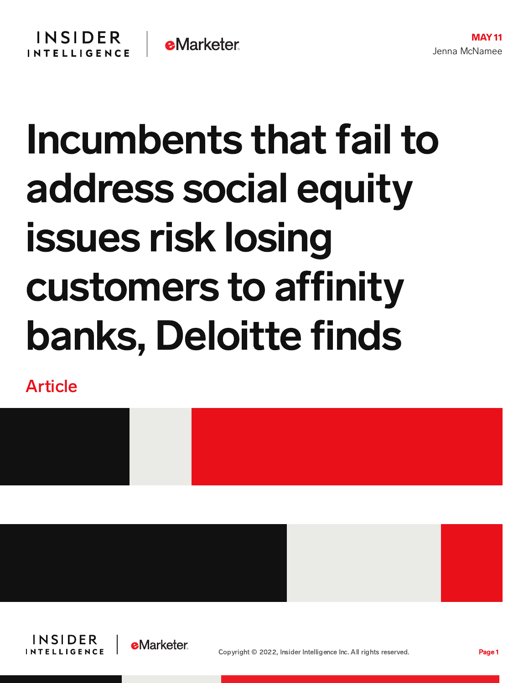

## Incumbents that fail to address social equity issues risk losing customers to affinity banks, Deloitte finds

Article









Copyright © 2022, Insider Intelligence Inc. All rights reserved. Page 1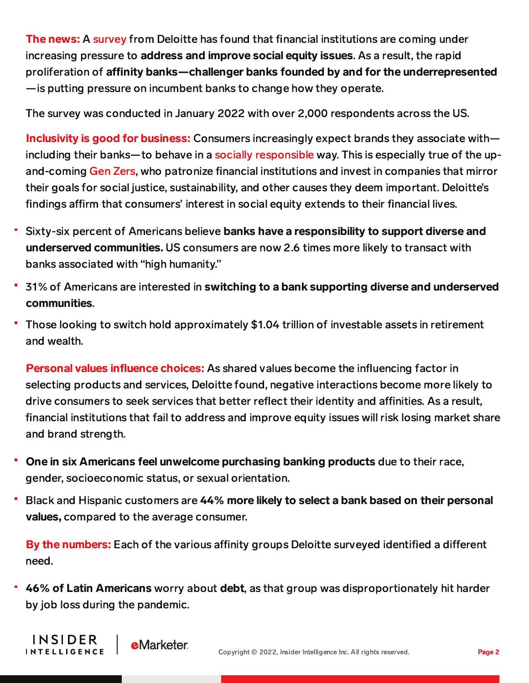The news: A [survey](https://www.deloittedigital.com/content/dam/deloittedigital/us/documents/offerings/offering-20220502-dd-affinity-banking-pov.pdf) from Deloitte has found that financial institutions are coming under increasing pressure to address and improve social equity issues. As a result, the rapid proliferation of affinity banks—challenger banks founded by and for the underrepresented —is putting pressure on incumbent banks to change how they operate.

The survey was conducted in January 2022 with over 2,000 respondents across the US.

Inclusivity is good for business: Consumers increasingly expect brands they associate with including their banks—to behave in a socially [responsible](https://chart-na2.emarketer.com/248992/what-do-us-adults-want-consumer-brands-do-of-respondents-dec-2020) way. This is especially true of the upand-coming Gen [Zers,](https://content-na2.emarketer.com/us-generation-z-financial-behaviors) who patronize financial institutions and invest in companies that mirror their goals for social justice, sustainability, and other causes they deem important. Deloitte's findings affirm that consumers' interest in social equity extends to their financial lives.

- Sixty-six percent of Americans believe banks have a responsibility to support diverse and underserved communities. US consumers are now 2.6 times more likely to transact with banks associated with "high humanity."
- <sup>1</sup> 31% of Americans are interested in switching to a bank supporting diverse and underserved communities.
- Those looking to switch hold approximately \$1.04 trillion of investable assets in retirement and wealth.

**Personal values influence choices:** As shared values become the influencing factor in selecting products and services, Deloitte found, negative interactions become more likely to drive consumers to seek services that better reflect their identity and affinities. As a result, financial institutions that fail to address and improve equity issues will risk losing market share and brand strength.

- One in six Americans feel unwelcome purchasing banking products due to their race, gender, socioeconomic status, or sexual orientation.
- Black and Hispanic customers are 44% more likely to select a bank based on their personal values, compared to the average consumer.

By the numbers: Each of the various affinity groups Deloitte surveyed identified a different need.

46% of Latin Americans worry about debt, as that group was disproportionately hit harder by job loss during the pandemic.

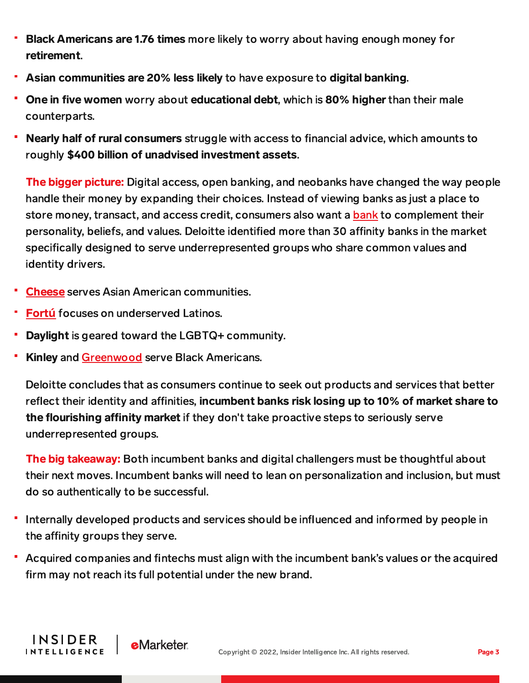- Black Americans are 1.76 times more likely to worry about having enough money for retirement.
- Asian communities are 20% less likely to have exposure to digital banking.
- One in five women worry about educational debt, which is 80% higher than their male counterparts.
- Nearly half of rural consumers struggle with access to financial advice, which amounts to roughly \$400 billion of unadvised investment assets.

**The bigger picture:** Digital access, open banking, and neobanks have changed the way people handle their money by expanding their choices. Instead of viewing banks as just a place to store money, transact, and access credit, consumers also want a [bank](https://www.nerdwallet.com/article/banking/neobanks-fintechs-to-watch#wiseid) to complement their personality, beliefs, and values. Deloitte identified more than 30 affinity banks in the market specifically designed to serve underrepresented groups who share common values and identity drivers.

- **[Cheese](https://www.earncheese.com/)** serves Asian American communities.
- [Fort](https://content-na2.emarketer.com/fort-makes-play-underserved-us-latinos)**ú** focuses on underserved Latinos.

**INSIDER** 

**INTELLIGENCE** 

- Daylight is geared toward the LGBTQ+ community.
- Kinley and [Greenwood](https://content-na2.emarketer.com/greenwood-vision-gets-complicated-over-banking-partnerships) serve Black Americans.

Deloitte concludes that as consumers continue to seek out products and services that better reflect their identity and affinities, incumbent banks risk losing up to 10% of market share to the flourishing affinity market if they don't take proactive steps to seriously serve underrepresented groups.

The big takeaway: Both incumbent banks and digital challengers must be thoughtful about their next moves. Incumbent banks will need to lean on personalization and inclusion, but must do so authentically to be successful.

- Internally developed products and services should be influenced and informed by people in the affinity groups they serve.
- Acquired companies and fintechs must align with the incumbent bank's values or the acquired firm may not reach its full potential under the new brand.